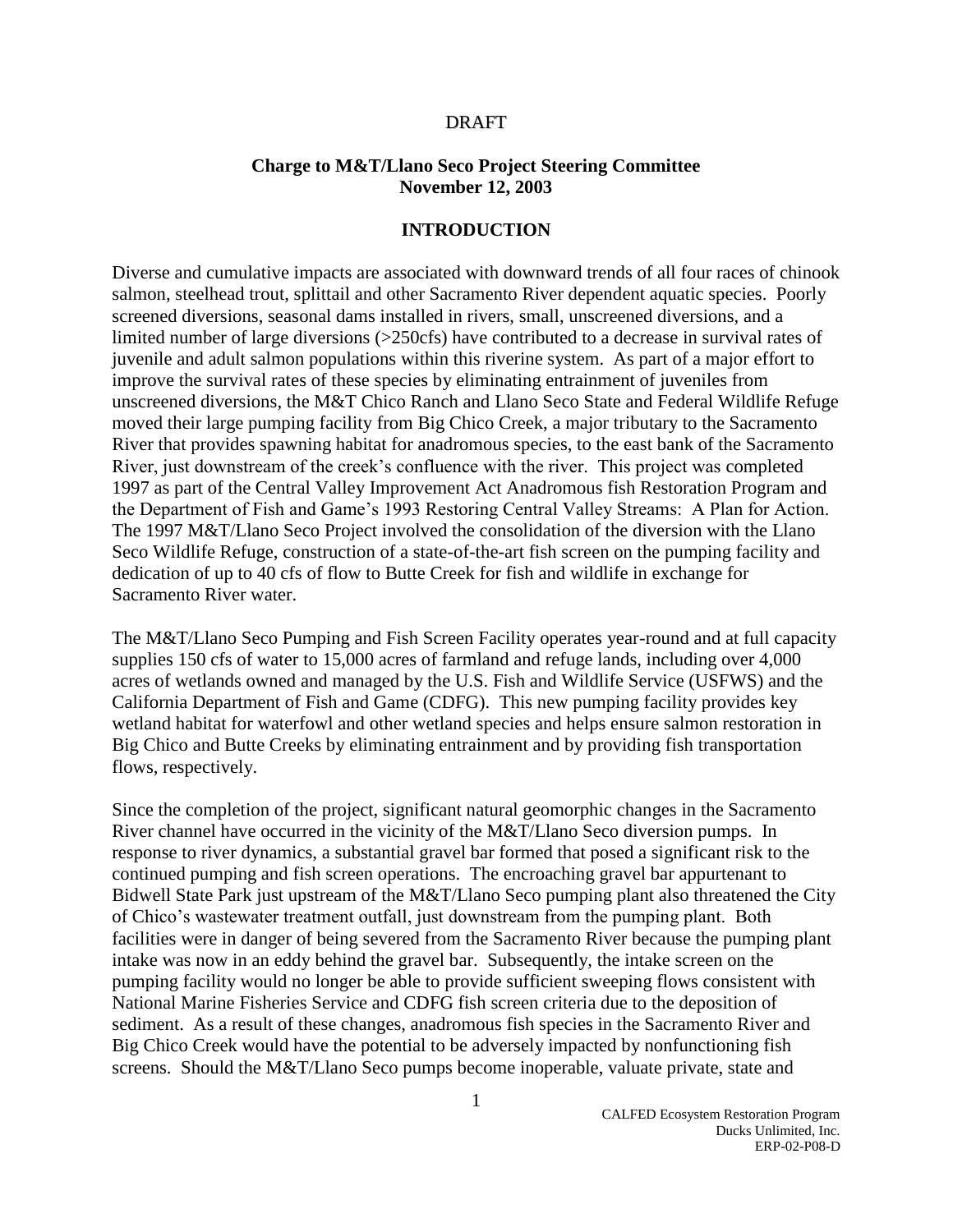#### DRAFT

#### **Charge to M&T/Llano Seco Project Steering Committee November 12, 2003**

#### **INTRODUCTION**

Diverse and cumulative impacts are associated with downward trends of all four races of chinook salmon, steelhead trout, splittail and other Sacramento River dependent aquatic species. Poorly screened diversions, seasonal dams installed in rivers, small, unscreened diversions, and a limited number of large diversions (>250cfs) have contributed to a decrease in survival rates of juvenile and adult salmon populations within this riverine system. As part of a major effort to improve the survival rates of these species by eliminating entrainment of juveniles from unscreened diversions, the M&T Chico Ranch and Llano Seco State and Federal Wildlife Refuge moved their large pumping facility from Big Chico Creek, a major tributary to the Sacramento River that provides spawning habitat for anadromous species, to the east bank of the Sacramento River, just downstream of the creek's confluence with the river. This project was completed 1997 as part of the Central Valley Improvement Act Anadromous fish Restoration Program and the Department of Fish and Game's 1993 Restoring Central Valley Streams: A Plan for Action. The 1997 M&T/Llano Seco Project involved the consolidation of the diversion with the Llano Seco Wildlife Refuge, construction of a state-of-the-art fish screen on the pumping facility and dedication of up to 40 cfs of flow to Butte Creek for fish and wildlife in exchange for Sacramento River water.

The M&T/Llano Seco Pumping and Fish Screen Facility operates year-round and at full capacity supplies 150 cfs of water to 15,000 acres of farmland and refuge lands, including over 4,000 acres of wetlands owned and managed by the U.S. Fish and Wildlife Service (USFWS) and the California Department of Fish and Game (CDFG). This new pumping facility provides key wetland habitat for waterfowl and other wetland species and helps ensure salmon restoration in Big Chico and Butte Creeks by eliminating entrainment and by providing fish transportation flows, respectively.

Since the completion of the project, significant natural geomorphic changes in the Sacramento River channel have occurred in the vicinity of the M&T/Llano Seco diversion pumps. In response to river dynamics, a substantial gravel bar formed that posed a significant risk to the continued pumping and fish screen operations. The encroaching gravel bar appurtenant to Bidwell State Park just upstream of the M&T/Llano Seco pumping plant also threatened the City of Chico's wastewater treatment outfall, just downstream from the pumping plant. Both facilities were in danger of being severed from the Sacramento River because the pumping plant intake was now in an eddy behind the gravel bar. Subsequently, the intake screen on the pumping facility would no longer be able to provide sufficient sweeping flows consistent with National Marine Fisheries Service and CDFG fish screen criteria due to the deposition of sediment. As a result of these changes, anadromous fish species in the Sacramento River and Big Chico Creek would have the potential to be adversely impacted by nonfunctioning fish screens. Should the M&T/Llano Seco pumps become inoperable, valuate private, state and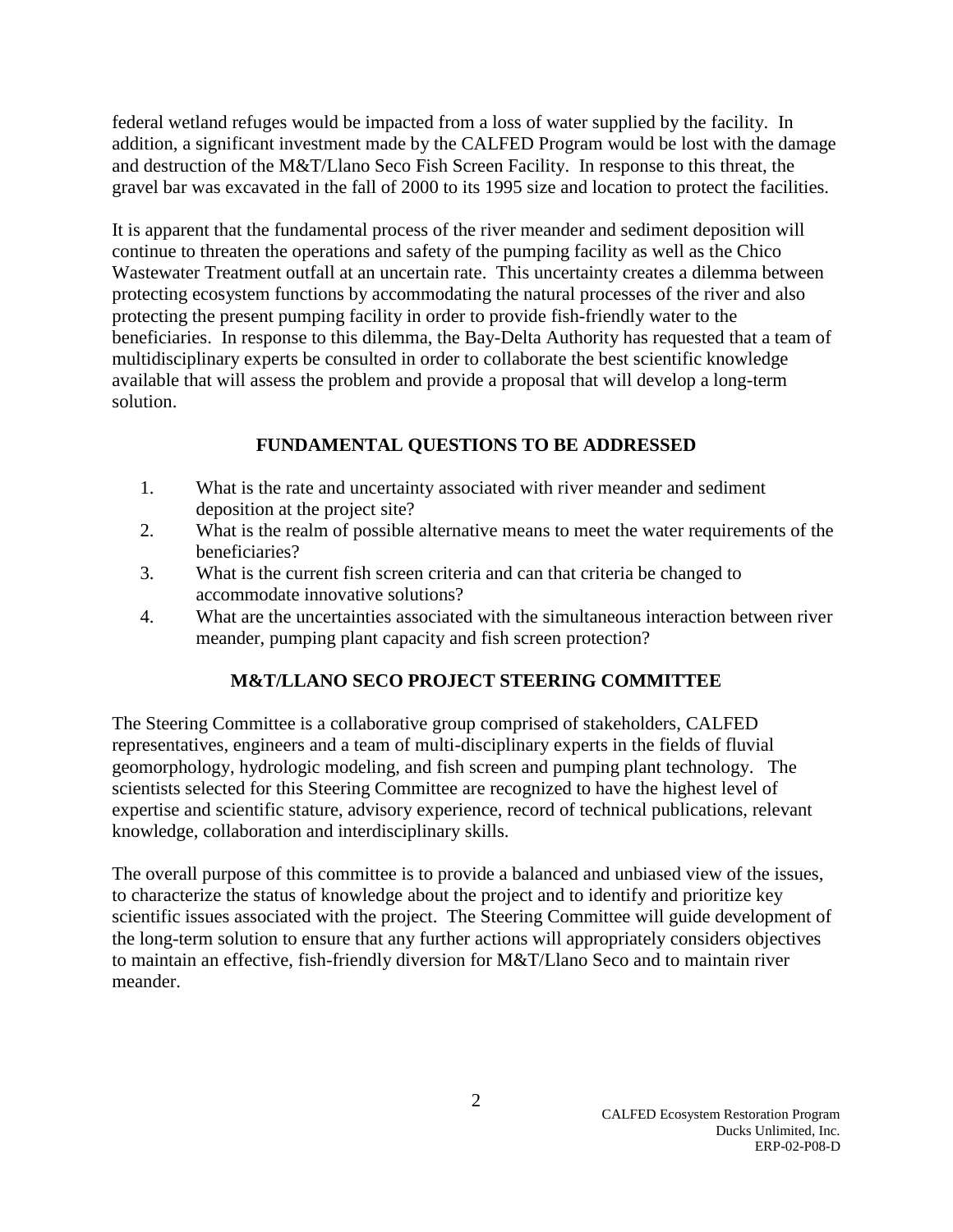federal wetland refuges would be impacted from a loss of water supplied by the facility. In addition, a significant investment made by the CALFED Program would be lost with the damage and destruction of the M&T/Llano Seco Fish Screen Facility. In response to this threat, the gravel bar was excavated in the fall of 2000 to its 1995 size and location to protect the facilities.

It is apparent that the fundamental process of the river meander and sediment deposition will continue to threaten the operations and safety of the pumping facility as well as the Chico Wastewater Treatment outfall at an uncertain rate. This uncertainty creates a dilemma between protecting ecosystem functions by accommodating the natural processes of the river and also protecting the present pumping facility in order to provide fish-friendly water to the beneficiaries. In response to this dilemma, the Bay-Delta Authority has requested that a team of multidisciplinary experts be consulted in order to collaborate the best scientific knowledge available that will assess the problem and provide a proposal that will develop a long-term solution.

# **FUNDAMENTAL QUESTIONS TO BE ADDRESSED**

- 1. What is the rate and uncertainty associated with river meander and sediment deposition at the project site?
- 2. What is the realm of possible alternative means to meet the water requirements of the beneficiaries?
- 3. What is the current fish screen criteria and can that criteria be changed to accommodate innovative solutions?
- 4. What are the uncertainties associated with the simultaneous interaction between river meander, pumping plant capacity and fish screen protection?

# **M&T/LLANO SECO PROJECT STEERING COMMITTEE**

The Steering Committee is a collaborative group comprised of stakeholders, CALFED representatives, engineers and a team of multi-disciplinary experts in the fields of fluvial geomorphology, hydrologic modeling, and fish screen and pumping plant technology. The scientists selected for this Steering Committee are recognized to have the highest level of expertise and scientific stature, advisory experience, record of technical publications, relevant knowledge, collaboration and interdisciplinary skills.

The overall purpose of this committee is to provide a balanced and unbiased view of the issues, to characterize the status of knowledge about the project and to identify and prioritize key scientific issues associated with the project. The Steering Committee will guide development of the long-term solution to ensure that any further actions will appropriately considers objectives to maintain an effective, fish-friendly diversion for M&T/Llano Seco and to maintain river meander.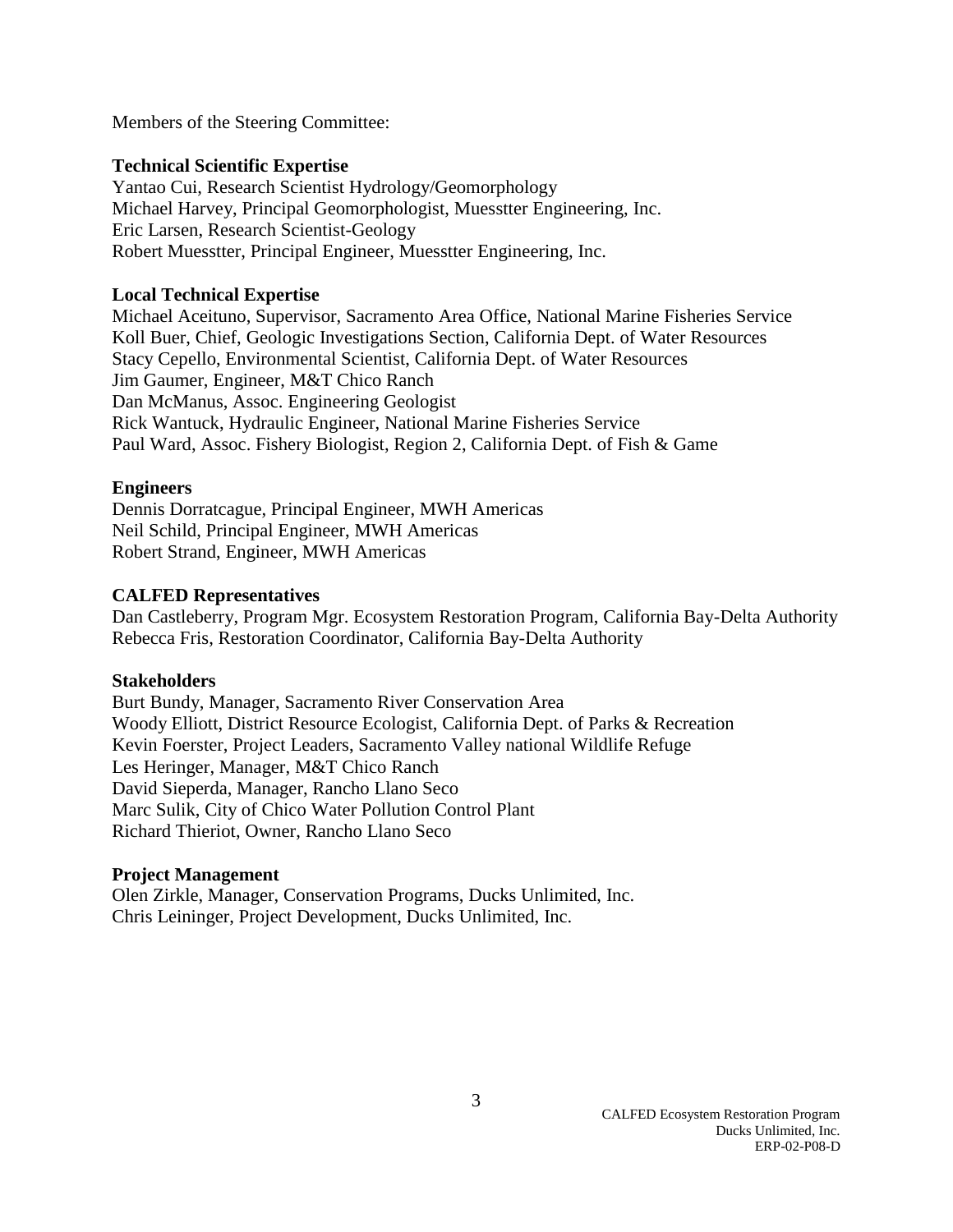Members of the Steering Committee:

#### **Technical Scientific Expertise**

Yantao Cui, Research Scientist Hydrology/Geomorphology Michael Harvey, Principal Geomorphologist, Muesstter Engineering, Inc. Eric Larsen, Research Scientist-Geology Robert Muesstter, Principal Engineer, Muesstter Engineering, Inc.

## **Local Technical Expertise**

Michael Aceituno, Supervisor, Sacramento Area Office, National Marine Fisheries Service Koll Buer, Chief, Geologic Investigations Section, California Dept. of Water Resources Stacy Cepello, Environmental Scientist, California Dept. of Water Resources Jim Gaumer, Engineer, M&T Chico Ranch Dan McManus, Assoc. Engineering Geologist Rick Wantuck, Hydraulic Engineer, National Marine Fisheries Service Paul Ward, Assoc. Fishery Biologist, Region 2, California Dept. of Fish & Game

## **Engineers**

Dennis Dorratcague, Principal Engineer, MWH Americas Neil Schild, Principal Engineer, MWH Americas Robert Strand, Engineer, MWH Americas

## **CALFED Representatives**

Dan Castleberry, Program Mgr. Ecosystem Restoration Program, California Bay-Delta Authority Rebecca Fris, Restoration Coordinator, California Bay-Delta Authority

#### **Stakeholders**

Burt Bundy, Manager, Sacramento River Conservation Area Woody Elliott, District Resource Ecologist, California Dept. of Parks & Recreation Kevin Foerster, Project Leaders, Sacramento Valley national Wildlife Refuge Les Heringer, Manager, M&T Chico Ranch David Sieperda, Manager, Rancho Llano Seco Marc Sulik, City of Chico Water Pollution Control Plant Richard Thieriot, Owner, Rancho Llano Seco

#### **Project Management**

Olen Zirkle, Manager, Conservation Programs, Ducks Unlimited, Inc. Chris Leininger, Project Development, Ducks Unlimited, Inc.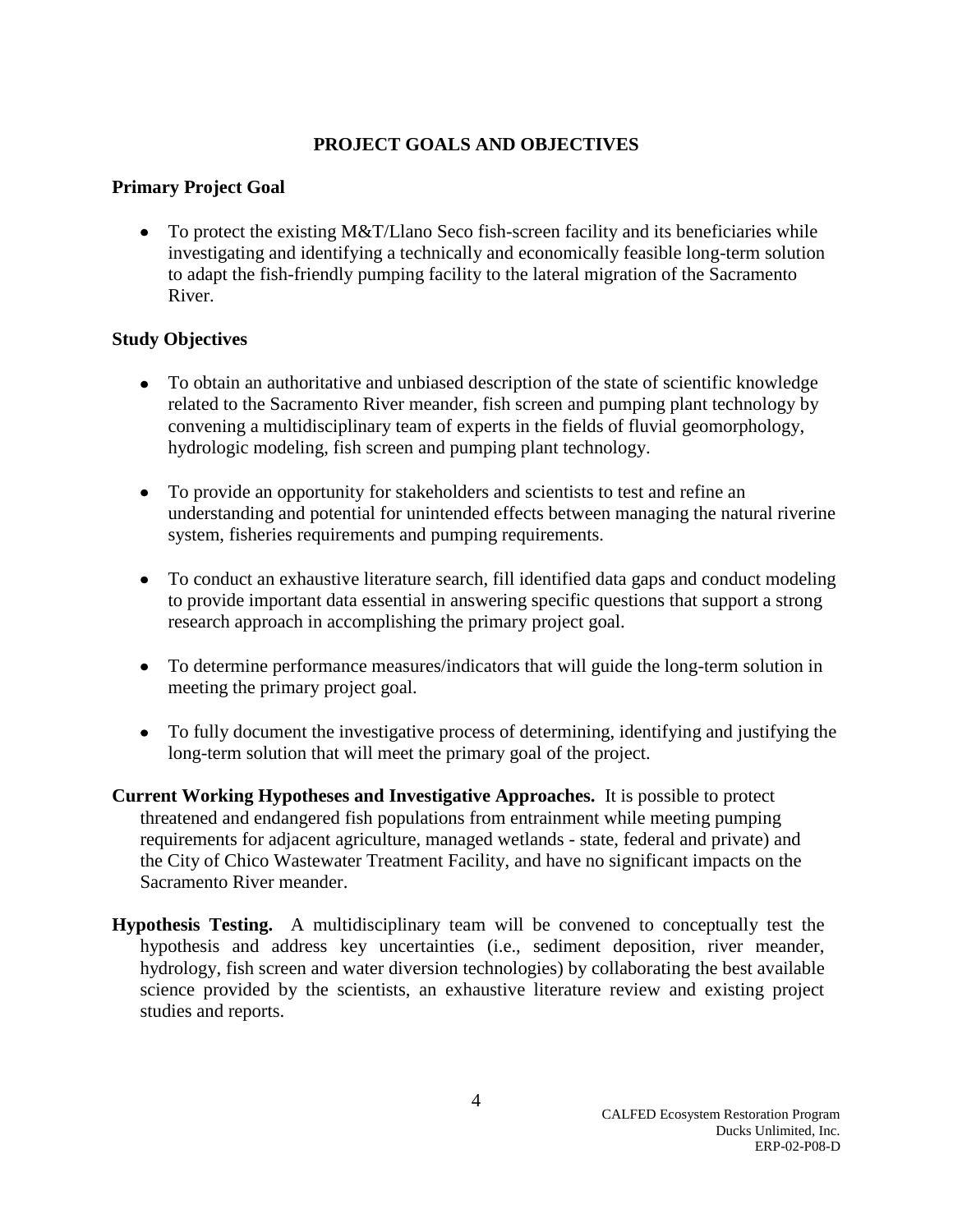## **PROJECT GOALS AND OBJECTIVES**

## **Primary Project Goal**

• To protect the existing M&T/Llano Seco fish-screen facility and its beneficiaries while investigating and identifying a technically and economically feasible long-term solution to adapt the fish-friendly pumping facility to the lateral migration of the Sacramento River.

## **Study Objectives**

- To obtain an authoritative and unbiased description of the state of scientific knowledge related to the Sacramento River meander, fish screen and pumping plant technology by convening a multidisciplinary team of experts in the fields of fluvial geomorphology, hydrologic modeling, fish screen and pumping plant technology.
- To provide an opportunity for stakeholders and scientists to test and refine an understanding and potential for unintended effects between managing the natural riverine system, fisheries requirements and pumping requirements.
- To conduct an exhaustive literature search, fill identified data gaps and conduct modeling to provide important data essential in answering specific questions that support a strong research approach in accomplishing the primary project goal.
- To determine performance measures/indicators that will guide the long-term solution in meeting the primary project goal.
- To fully document the investigative process of determining, identifying and justifying the long-term solution that will meet the primary goal of the project.
- **Current Working Hypotheses and Investigative Approaches.** It is possible to protect threatened and endangered fish populations from entrainment while meeting pumping requirements for adjacent agriculture, managed wetlands - state, federal and private) and the City of Chico Wastewater Treatment Facility, and have no significant impacts on the Sacramento River meander.
- **Hypothesis Testing.** A multidisciplinary team will be convened to conceptually test the hypothesis and address key uncertainties (i.e., sediment deposition, river meander, hydrology, fish screen and water diversion technologies) by collaborating the best available science provided by the scientists, an exhaustive literature review and existing project studies and reports.